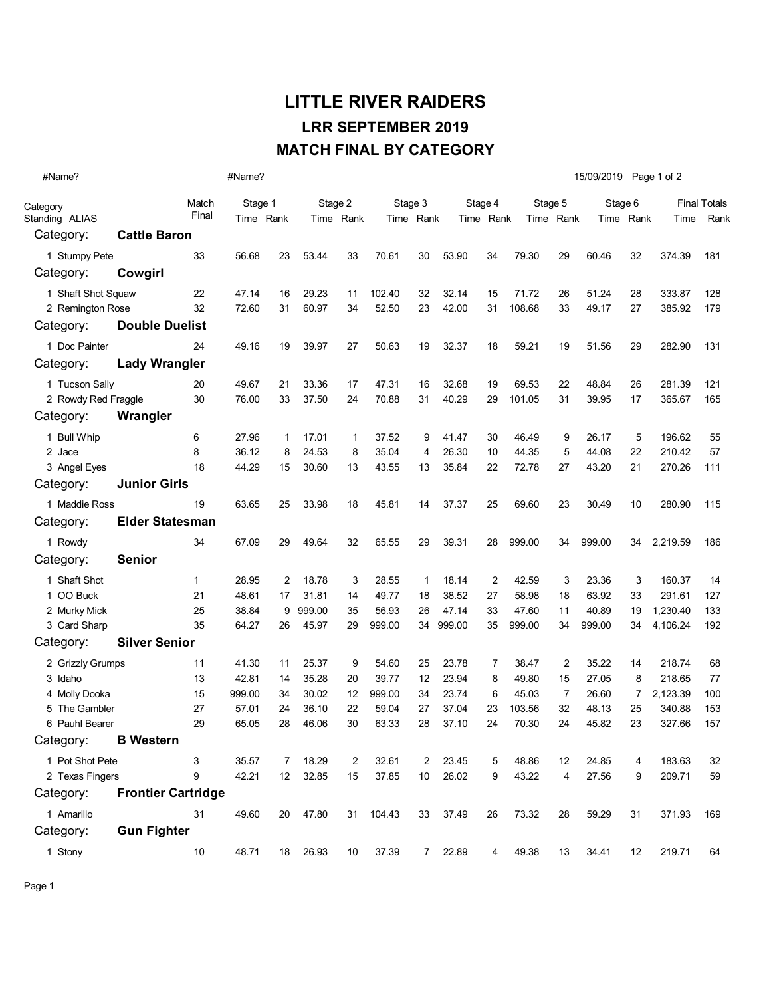## LITTLE RIVER RAIDERS MATCH FINAL BY CATEGORY LRR SEPTEMBER 2019

| #Name?               |                           |       |           |    |         |           |         |                | 15/09/2019 Page 1 of 2 |           |         |           |         |           |                     |      |
|----------------------|---------------------------|-------|-----------|----|---------|-----------|---------|----------------|------------------------|-----------|---------|-----------|---------|-----------|---------------------|------|
| Category             |                           | Match | Stage 1   |    | Stage 2 |           | Stage 3 |                | Stage 4                |           | Stage 5 |           | Stage 6 |           | <b>Final Totals</b> |      |
| Standing ALIAS       |                           | Final | Time Rank |    |         | Time Rank |         | Time Rank      |                        | Time Rank |         | Time Rank |         | Time Rank | Time                | Rank |
| Category:            | <b>Cattle Baron</b>       |       |           |    |         |           |         |                |                        |           |         |           |         |           |                     |      |
| 1 Stumpy Pete        |                           | 33    | 56.68     | 23 | 53.44   | 33        | 70.61   | 30             | 53.90                  | 34        | 79.30   | 29        | 60.46   | 32        | 374.39              | 181  |
| Category:            | Cowgirl                   |       |           |    |         |           |         |                |                        |           |         |           |         |           |                     |      |
| 1 Shaft Shot Squaw   |                           | 22    | 47.14     | 16 | 29.23   | 11        | 102.40  | 32             | 32.14                  | 15        | 71.72   | 26        | 51.24   | 28        | 333.87              | 128  |
| 2 Remington Rose     |                           | 32    | 72.60     | 31 | 60.97   | 34        | 52.50   | 23             | 42.00                  | 31        | 108.68  | 33        | 49.17   | 27        | 385.92              | 179  |
| Category:            | <b>Double Duelist</b>     |       |           |    |         |           |         |                |                        |           |         |           |         |           |                     |      |
| 1 Doc Painter        |                           | 24    | 49.16     | 19 | 39.97   | 27        | 50.63   | 19             | 32.37                  | 18        | 59.21   | 19        | 51.56   | 29        | 282.90              | 131  |
| Category:            | <b>Lady Wrangler</b>      |       |           |    |         |           |         |                |                        |           |         |           |         |           |                     |      |
| 1 Tucson Sally       |                           | 20    | 49.67     | 21 | 33.36   | 17        | 47.31   | 16             | 32.68                  | 19        | 69.53   | 22        | 48.84   | 26        | 281.39              | 121  |
| 2 Rowdy Red Fraggle  |                           | 30    | 76.00     | 33 | 37.50   | 24        | 70.88   | 31             | 40.29                  | 29        | 101.05  | 31        | 39.95   | 17        | 365.67              | 165  |
| Category:            | Wrangler                  |       |           |    |         |           |         |                |                        |           |         |           |         |           |                     |      |
| 1 Bull Whip          |                           | 6     | 27.96     | 1  | 17.01   | 1         | 37.52   | 9              | 41.47                  | 30        | 46.49   | 9         | 26.17   | 5         | 196.62              | 55   |
| 2 Jace               |                           | 8     | 36.12     | 8  | 24.53   | 8         | 35.04   | 4              | 26.30                  | 10        | 44.35   | 5         | 44.08   | 22        | 210.42              | 57   |
| 3 Angel Eyes         |                           | 18    | 44.29     | 15 | 30.60   | 13        | 43.55   | 13             | 35.84                  | 22        | 72.78   | 27        | 43.20   | 21        | 270.26              | 111  |
| Category:            | <b>Junior Girls</b>       |       |           |    |         |           |         |                |                        |           |         |           |         |           |                     |      |
| 1 Maddie Ross        |                           | 19    | 63.65     | 25 | 33.98   | 18        | 45.81   | 14             | 37.37                  | 25        | 69.60   | 23        | 30.49   | 10        | 280.90              | 115  |
| Category:            | <b>Elder Statesman</b>    |       |           |    |         |           |         |                |                        |           |         |           |         |           |                     |      |
| 1 Rowdy              |                           | 34    | 67.09     | 29 | 49.64   | 32        | 65.55   | 29             | 39.31                  | 28        | 999.00  | 34        | 999.00  | 34        | 2,219.59            | 186  |
| Category:            | <b>Senior</b>             |       |           |    |         |           |         |                |                        |           |         |           |         |           |                     |      |
| 1 Shaft Shot         |                           | 1     | 28.95     | 2  | 18.78   | 3         | 28.55   | $\mathbf{1}$   | 18.14                  | 2         | 42.59   | 3         | 23.36   | 3         | 160.37              | 14   |
| 1 OO Buck            |                           | 21    | 48.61     | 17 | 31.81   | 14        | 49.77   | 18             | 38.52                  | 27        | 58.98   | 18        | 63.92   | 33        | 291.61              | 127  |
| 2 Murky Mick         |                           | 25    | 38.84     | 9  | 999.00  | 35        | 56.93   | 26             | 47.14                  | 33        | 47.60   | 11        | 40.89   | 19        | 1,230.40            | 133  |
| 3 Card Sharp         |                           | 35    | 64.27     | 26 | 45.97   | 29        | 999.00  | 34             | 999.00                 | 35        | 999.00  | 34        | 999.00  | 34        | 4,106.24            | 192  |
| Category:            | <b>Silver Senior</b>      |       |           |    |         |           |         |                |                        |           |         |           |         |           |                     |      |
| 2 Grizzly Grumps     |                           | 11    | 41.30     | 11 | 25.37   | 9         | 54.60   | 25             | 23.78                  | 7         | 38.47   | 2         | 35.22   | 14        | 218.74              | 68   |
| 3 Idaho              |                           | 13    | 42.81     | 14 | 35.28   | 20        | 39.77   | 12             | 23.94                  | 8         | 49.80   | 15        | 27.05   | 8         | 218.65              | 77   |
| 4 Molly Dooka        |                           | 15    | 999.00    | 34 | 30.02   | 12        | 999.00  | 34             | 23.74                  | 6         | 45.03   | 7         | 26.60   | 7         | 2,123.39            | 100  |
| 5 The Gambler        |                           | 27    | 57.01     | 24 | 36.10   | 22        | 59.04   | 27             | 37.04                  | 23        | 103.56  | 32        | 48.13   | 25        | 340.88              | 153  |
| 6 Pauhl Bearer       |                           | 29    | 65.05     | 28 | 46.06   | 30        | 63.33   | 28             | 37.10                  | 24        | 70.30   | 24        | 45.82   | 23        | 327.66              | 157  |
| Category:            | <b>B</b> Western          |       |           |    |         |           |         |                |                        |           |         |           |         |           |                     |      |
| 1 Pot Shot Pete<br>3 |                           |       | 35.57     | 7  | 18.29   | 2         | 32.61   | 2              | 23.45                  | 5         | 48.86   | 12        | 24.85   | 4         | 183.63              | 32   |
| 2 Texas Fingers      |                           | 9     | 42.21     | 12 | 32.85   | 15        | 37.85   | 10             | 26.02                  | 9         | 43.22   | 4         | 27.56   | 9         | 209.71              | 59   |
| Category:            | <b>Frontier Cartridge</b> |       |           |    |         |           |         |                |                        |           |         |           |         |           |                     |      |
| 1 Amarillo           |                           | 31    | 49.60     | 20 | 47.80   | 31        | 104.43  | 33             | 37.49                  | 26        | 73.32   | 28        | 59.29   | 31        | 371.93              | 169  |
| Category:            | <b>Gun Fighter</b>        |       |           |    |         |           |         |                |                        |           |         |           |         |           |                     |      |
| 1 Stony              |                           | 10    | 48.71     | 18 | 26.93   | 10        | 37.39   | 7 <sup>7</sup> | 22.89                  | 4         | 49.38   | 13        | 34.41   | 12        | 219.71              | 64   |

Page 1